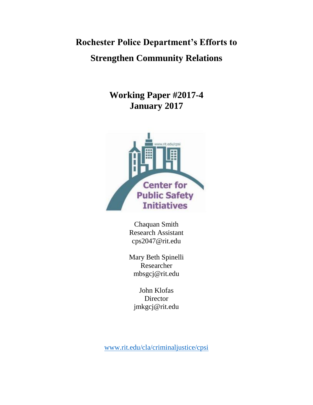# **Rochester Police Department's Efforts to Strengthen Community Relations**

**Working Paper #2017-4 January 2017**



Chaquan Smith Research Assistant [cps2047@rit.edu](mailto:cps2047@rit.edu)

Mary Beth Spinelli Researcher mbsgcj@rit.edu

John Klofas Director jmkgcj@rit.edu

[www.rit.edu/cla/criminaljustice/cpsi](http://www.rit.edu/cla/criminaljustice/cpsi)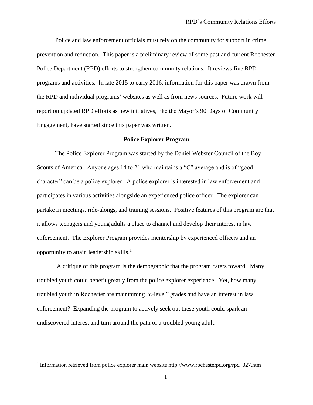Police and law enforcement officials must rely on the community for support in crime prevention and reduction. This paper is a preliminary review of some past and current Rochester Police Department (RPD) efforts to strengthen community relations. It reviews five RPD programs and activities. In late 2015 to early 2016, information for this paper was drawn from the RPD and individual programs' websites as well as from news sources. Future work will report on updated RPD efforts as new initiatives, like the Mayor's 90 Days of Community Engagement, have started since this paper was written.

## **Police Explorer Program**

The Police Explorer Program was started by the Daniel Webster Council of the Boy Scouts of America. Anyone ages 14 to 21 who maintains a "C" average and is of "good character" can be a police explorer. A police explorer is interested in law enforcement and participates in various activities alongside an experienced police officer. The explorer can partake in meetings, ride-alongs, and training sessions. Positive features of this program are that it allows teenagers and young adults a place to channel and develop their interest in law enforcement. The Explorer Program provides mentorship by experienced officers and an opportunity to attain leadership skills.<sup>1</sup>

A critique of this program is the demographic that the program caters toward. Many troubled youth could benefit greatly from the police explorer experience. Yet, how many troubled youth in Rochester are maintaining "c-level" grades and have an interest in law enforcement? Expanding the program to actively seek out these youth could spark an undiscovered interest and turn around the path of a troubled young adult.

 $\overline{a}$ 

<sup>&</sup>lt;sup>1</sup> Information retrieved from police explorer main website http://www.rochesterpd.org/rpd\_027.htm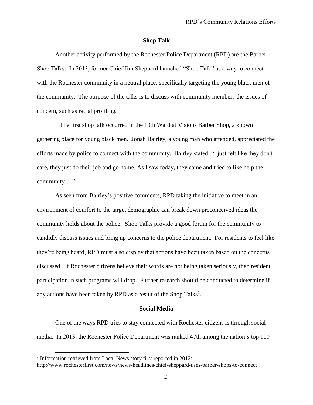## **Shop Talk**

Another activity performed by the Rochester Police Department (RPD) are the Barber Shop Talks. In 2013, former Chief Jim Sheppard launched "Shop Talk" as a way to connect with the Rochester community in a neutral place, specifically targeting the young black men of the community. The purpose of the talks is to discuss with community members the issues of concern, such as racial profiling.

 The first shop talk occurred in the 19th Ward at Visions Barber Shop, a known gathering place for young black men. Jonah Bairley, a young man who attended, appreciated the efforts made by police to connect with the community. Bairley stated, "I just felt like they don't care, they just do their job and go home. As I saw today, they came and tried to like help the community…."

As seen from Bairley's positive comments, RPD taking the initiative to meet in an environment of comfort to the target demographic can break down preconceived ideas the community holds about the police. Shop Talks provide a good forum for the community to candidly discuss issues and bring up concerns to the police department. For residents to feel like they're being heard, RPD must also display that actions have been taken based on the concerns discussed. If Rochester citizens believe their words are not being taken seriously, then resident participation in such programs will drop. Further research should be conducted to determine if any actions have been taken by RPD as a result of the Shop Talks<sup>2</sup>.

## **Social Media**

One of the ways RPD tries to stay connected with Rochester citizens is through social media. In 2013, the Rochester Police Department was ranked 47th among the nation's top 100

 $\overline{a}$ 

<sup>2</sup> Information retrieved from Local News story first reported in 2012:

http://www.rochesterfirst.com/news/news-headlines/chief-sheppard-uses-barber-shops-to-connect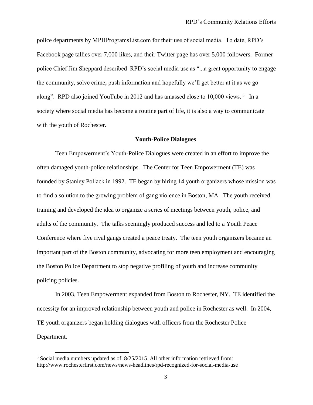police departments by MPHProgramsList.com for their use of social media. To date, RPD's Facebook page tallies over 7,000 likes, and their Twitter page has over 5,000 followers. Former police Chief Jim Sheppard described RPD's social media use as "...a great opportunity to engage the community, solve crime, push information and hopefully we'll get better at it as we go along". RPD also joined YouTube in 2012 and has amassed close to 10,000 views.<sup>3</sup> In a society where social media has become a routine part of life, it is also a way to communicate with the youth of Rochester.

## **Youth-Police Dialogues**

Teen Empowerment's Youth-Police Dialogues were created in an effort to improve the often damaged youth-police relationships. The Center for Teen Empowerment (TE) was founded by Stanley Pollack in 1992. TE began by hiring 14 youth organizers whose mission was to find a solution to the growing problem of gang violence in Boston, MA. The youth received training and developed the idea to organize a series of meetings between youth, police, and adults of the community. The talks seemingly produced success and led to a Youth Peace Conference where five rival gangs created a peace treaty. The teen youth organizers became an important part of the Boston community, advocating for more teen employment and encouraging the Boston Police Department to stop negative profiling of youth and increase community policing policies.

In 2003, Teen Empowerment expanded from Boston to Rochester, NY. TE identified the necessity for an improved relationship between youth and police in Rochester as well. In 2004, TE youth organizers began holding dialogues with officers from the Rochester Police Department.

 $\overline{a}$ 

<sup>&</sup>lt;sup>3</sup> Social media numbers updated as of 8/25/2015. All other information retrieved from: http://www.rochesterfirst.com/news/news-headlines/rpd-recognized-for-social-media-use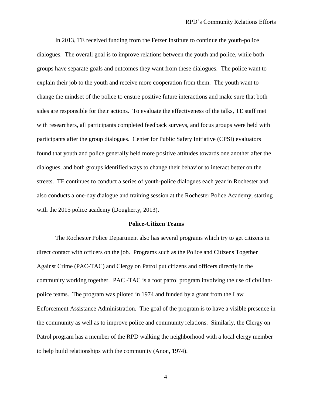In 2013, TE received funding from the Fetzer Institute to continue the youth-police dialogues. The overall goal is to improve relations between the youth and police, while both groups have separate goals and outcomes they want from these dialogues. The police want to explain their job to the youth and receive more cooperation from them. The youth want to change the mindset of the police to ensure positive future interactions and make sure that both sides are responsible for their actions. To evaluate the effectiveness of the talks, TE staff met with researchers, all participants completed feedback surveys, and focus groups were held with participants after the group dialogues. Center for Public Safety Initiative (CPSI) evaluators found that youth and police generally held more positive attitudes towards one another after the dialogues, and both groups identified ways to change their behavior to interact better on the streets. TE continues to conduct a series of youth-police dialogues each year in Rochester and also conducts a one-day dialogue and training session at the Rochester Police Academy, starting with the 2015 police academy (Dougherty, 2013).

#### **Police-Citizen Teams**

The Rochester Police Department also has several programs which try to get citizens in direct contact with officers on the job. Programs such as the Police and Citizens Together Against Crime (PAC-TAC) and Clergy on Patrol put citizens and officers directly in the community working together. PAC -TAC is a foot patrol program involving the use of civilianpolice teams. The program was piloted in 1974 and funded by a grant from the Law Enforcement Assistance Administration. The goal of the program is to have a visible presence in the community as well as to improve police and community relations. Similarly, the Clergy on Patrol program has a member of the RPD walking the neighborhood with a local clergy member to help build relationships with the community (Anon, 1974).

4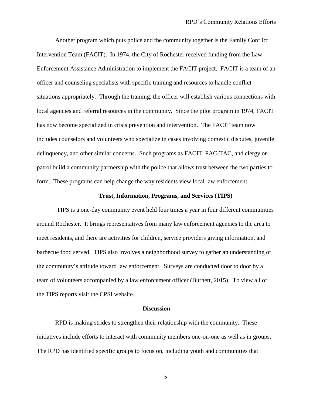Another program which puts police and the community together is the Family Conflict Intervention Team (FACIT). In 1974, the City of Rochester received funding from the Law Enforcement Assistance Administration to implement the FACIT project. FACIT is a team of an officer and counseling specialists with specific training and resources to handle conflict situations appropriately. Through the training, the officer will establish various connections with local agencies and referral resources in the community. Since the pilot program in 1974, FACIT has now become specialized in crisis prevention and intervention. The FACIT team now includes counselors and volunteers who specialize in cases involving domestic disputes, juvenile delinquency, and other similar concerns. Such programs as FACIT, PAC-TAC, and clergy on patrol build a community partnership with the police that allows trust between the two parties to form. These programs can help change the way residents view local law enforcement.

#### **Trust, Information, Programs, and Services (TIPS)**

TIPS is a one-day community event held four times a year in four different communities around Rochester. It brings representatives from many law enforcement agencies to the area to meet residents, and there are activities for children, service providers giving information, and barbecue food served. TIPS also involves a neighborhood survey to gather an understanding of the community's attitude toward law enforcement. Surveys are conducted door to door by a team of volunteers accompanied by a law enforcement officer (Burnett, 2015). To view all of the TIPS reports visit the CPSI website.

#### **Discussion**

RPD is making strides to strengthen their relationship with the community. These initiatives include efforts to interact with community members one-on-one as well as in groups. The RPD has identified specific groups to focus on, including youth and communities that

5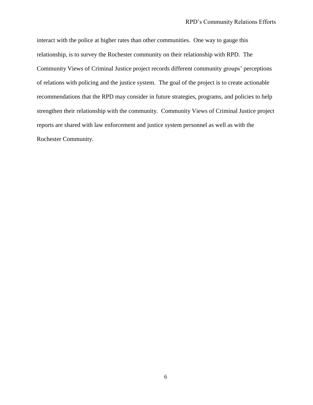interact with the police at higher rates than other communities. One way to gauge this relationship, is to survey the Rochester community on their relationship with RPD. The Community Views of Criminal Justice project records different community groups' perceptions of relations with policing and the justice system. The goal of the project is to create actionable recommendations that the RPD may consider in future strategies, programs, and policies to help strengthen their relationship with the community. Community Views of Criminal Justice project reports are shared with law enforcement and justice system personnel as well as with the Rochester Community.